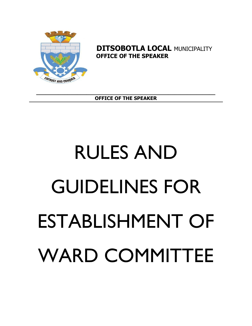# RULES AND GUIDELINES FOR ESTABLISHMENT OF WARD COMMITTEE

**\_\_\_\_\_\_\_\_\_\_\_\_\_\_\_\_\_\_\_\_\_\_\_\_\_\_\_\_\_\_\_\_\_\_\_\_\_\_\_\_\_\_\_\_\_\_\_\_\_\_\_\_\_\_\_\_\_ OFFICE OF THE SPEAKER**



**DITSOBOTLA LOCAL MUNICIPALITY OFFICE OF THE SPEAKER**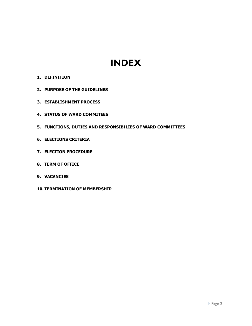# **INDEX**

- **1. DEFINITION**
- **2. PURPOSE OF THE GUIDELINES**
- **3. ESTABLISHMENT PROCESS**
- **4. STATUS OF WARD COMMITEES**
- **5. FUNCTIONS, DUTIES AND RESPONSIBILIES OF WARD COMMITTEES**
- **6. ELECTIONS CRITERIA**
- **7. ELECTION PROCEDURE**
- **8. TERM OF OFFICE**
- **9. VACANCIES**
- **10. TERMINATION OF MEMBERSHIP**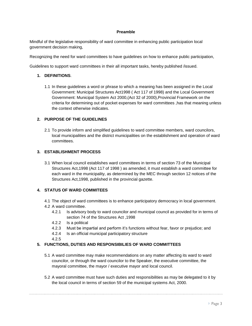## **Preamble**

Mindful of the legislative responsibility of ward committee in enhancing public participation local government decision making,

Recognizing the need for ward committees to have guidelines on how to enhance public participation,

Guidelines to support ward committees in their all important tasks, hereby published /issued.

## **1. DEFINITIONS**.

1.1 In these guidelines a word or phrase to which a meaning has been assigned in the Local Government: Municipal Structures Act1998 ( Act 117 of 1998) and the Local Government Government: Municipal System Act 2000,(Act 32 of 2000),Provincial Framework on the criteria for determining out of pocket expenses for ward committees ,has that meaning unless the context otherwise indicates.

# **2. PURPOSE OF THE GUIDELINES**

2.1 To provide inform and simplified guidelines to ward committee members, ward councilors, local municipalities and the district municipalities on the establishment and operation of ward committees.

## **3. ESTABLISHMENT PROCESS**

3.1 When local council establishes ward committees in terms of section 73 of the Municipal Structures Act,1998 (Act 117 of 1998 ) as amended, it must establish a ward committee for each ward in the municipality, as determined by the MEC through section 12 notices of the Structures Act,1998, published in the provincial gazette.

# **4. STATUS OF WARD COMMITEES**

- 4.1 The object of ward committees is to enhance participatory democracy in local government.
- 4.2 A ward committee.
	- 4.2.1 Is advisory body to ward councilor and municipal council as provided for in terms of section 74 of the Structures Act ,1998
	- 4.2.2 Is a political
	- 4.2.3 Must be impartial and perform it's functions without fear, favor or prejudice; and
	- 4.2.4 Is an official municipal participatory structure
	- 4.2.5

# **5. FUNCTIONS, DUTIES AND RESPONSIBILIES OF WARD COMMITTEES**

- 5.1 A ward committee may make recommendations on any matter affecting its ward to ward councilor, or through the ward councilor to the Speaker, the executive committee, the mayoral committee, the mayor / executive mayor and local council.
- 5.2 A ward committee must have such duties and responsibilities as may be delegated to it by the local council in terms of section 59 of the municipal systems Act, 2000.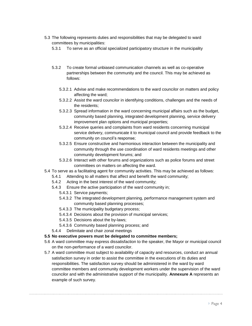- 5.3 The following represents duties and responsibilities that may be delegated to ward committees by municipalities:
	- 5.3.1 To serve as an official specialized participatory structure in the municipality
	- 5.3.2 To create formal unbiased communication channels as well as co-operative partnerships between the community and the council. This may be achieved as follows:
		- 5.3.2.1 Advise and make recommendations to the ward councilor on matters and policy affecting the ward;
		- 5.3.2.2 Assist the ward councilor in identifying conditions, challenges and the needs of the residents;
		- 5.3.2.3 Spread information in the ward concerning municipal affairs such as the budget, community based planning, integrated development planning, service delivery improvement plan options and municipal properties;
		- 5.3.2.4 Receive queries and complaints from ward residents concerning municipal service delivery, communicate it to municipal council and provide feedback to the community on council's response;
		- 5.3.2.5 Ensure constructive and harmonious interaction between the municipality and community through the use coordination of ward residents meetings and other community development forums; and
		- 5.3.2.6 Interact with other forums and organizations such as police forums and street committees on matters on affecting the ward.
- 5.4 To serve as a facilitating agent for community activities. This may be achieved as follows:
	- 5.4.1 Attending to all matters that affect and benefit the ward community;
	- 5.4.2 Acting in the best interest of the ward community;
	- 5.4.3 Ensure the active participation of the ward community in;
		- 5.4.3.1 Service payments;
		- 5.4.3.2 The integrated development planning, performance management system and community based planning processes;
		- 5.4.3.3 The municipality budgetary process;
		- 5.4.3.4 Decisions about the provision of municipal services;
		- 5.4.3.5 Decisions about the by-laws;
		- 5.4.3.6 Community based planning process; and
	- 5.4.4 Delimitate and chair zonal meetings
- **5.5 No executive powers must be delegated to committee members;**
- 5.6 A ward committee may express dissatisfaction to the speaker, the Mayor or municipal council on the non-performance of a ward councilor.
- 5.7 A ward committee must subject to availability of capacity and resources, conduct an annual satisfaction survey in order to assist the committee in the executions of its duties and responsibilities. The satisfaction survey should be administered in the ward by ward committee members and community development workers under the supervision of the ward councilor and with the administrative support of the municipality. **Annexure A** represents an example of such survey.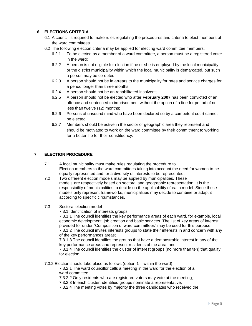# **6. ELECTIONS CRITERIA**

- 6.1 A council is required to make rules regulating the procedures and criteria to elect members of the ward committees.
- 6.2 The following election criteria may be applied for electing ward committee members:
	- 6.2.1 To be elected as a member of a ward committee, a person must be a registered voter in the ward;
	- 6.2.2 A person is not eligible for election if he or she is employed by the local municipality or the district municipality within which the local municipality is demarcated, but such a person may be co-opted
	- 6.2.3 A person should not be in arrears to the municipality for rates and service charges for a period longer than three months;
	- 6.2.4 A person should not be an rehabilitated insolvent;
	- 6.2.5 A person should not be elected who after **February 2007** has been convicted of an offence and sentenced to imprisonment without the option of a fine for period of not less than twelve (12) months;
	- 6.2.6 Persons of unsound mind who have been declared so by a competent court cannot be elected
	- 6.2.7 Members should be active in the sector or geographic area they represent and should be motivated to work on the ward committee by their commitment to working for a better life for their constituency.

# **7. ELECTION PROCEDURE**

- 7.1 A local municipality must make rules regulating the procedure to Election members to the ward committees taking into account the need for women to be equally represented and for a diversity of interests to be represented.
- 7.2 Two different election models may be applied by municipalities. These models are respectively based on sectoral and geographic representation. It is the responsibility of municipalities to decide on the applicability of each model. Since these models only represent frameworks, municipalities may decide to combine or adapt it according to specific circumstances.
- 7.3 Sectoral election model

7.3.1 Identification of interests groups.

7.3.1.1 The council identifies the key performance areas of each ward, for example, local economic development, job creation and basic services. The list of key areas of interest provided for under "Composition of ward committees" may be used for this purpose. 7.3.1.2 The council invites interests groups to state their interests in and concern with any of the key performances areas;

7.3.1.3 The council identifies the groups that have a demonstrable interest in any of the key performance areas and represent residents of the area; and

7.3.1.4 The council identifies the cluster of interest groups (no more than ten) that qualify for election.

7.3.2 Election should take place as follows (option 1 – within the ward)

7.3.2.1 The ward councillor calls a meeting in the ward for the election of a ward committee;

7.3.2.2 Only residents who are registered voters may vote at the meeting;

7.3.2.3 In each cluster, identified groups nominate a representative;

7.3.2.4 The meeting votes by majority the three candidates who received the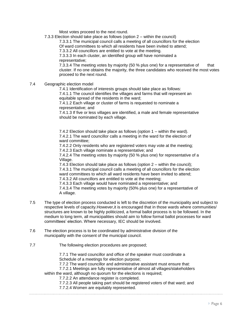Most votes proceed to the next round.

7.3.3 Election should take place as follows (option 2 – within the council)

7.3.3.1 The municipal council calls a meeting of all councillors for the election

Of ward committees to which all residents have been invited to attend;

7.3.3.2 All councillors are entitled to vote at the meeting.

7.3.3.3 In each cluster, an identified group will have nominated a representative;

7.3.3.4 The meeting votes by majority (50 % plus one) for a representative of that cluster. If no one obtains the majority, the three candidates who received the most votes proceed to the next round.

7.4 Geographic election model

7.4.1 Identification of interests groups should take place as follows:

7.4.1.1 The council identifies the villages and farms that will represent an equitable spread of the residents in the ward;

7.4.1.2 Each village or cluster of farms is requested to nominate a representative; and

7.4.1.3 If five or less villages are identified, a male and female representative should be nominated by each village.

7.4.2 Election should take place as follows (option 1 – within the ward). 7.4.2.1 The ward councillor calls a meeting in the ward for the election of ward committee;

7.4.2.2 Only residents who are registered voters may vote at the meeting;

7.4.2.3 Each village nominate a representative; and

7.4.2.4 The meeting votes by majority (50 % plus one) for representative of a Village.

7.4.3 Election should take place as follows (option 2 – within the council); 7.4.3.1 The municipal council calls a meeting of all councillors for the election ward committees to which all ward residents have been invited to attend;

7.4.3.2 All councillors are entitled to vote at the meeting;

7.4.3.3 Each village would have nominated a representative; and 7.4.3.4 The meeting votes by majority (50% plus one) for a representative of

- A village.
- 7.5 The type of election process conducted is left to the discretion of the municipality and subject to respective levels of capacity.However,it is encouraged that in those wards where communities/ structures are known to be highly politicized, a formal ballot process is to be followed. In the medium to long term, all municipalities should aim to follow formal ballot processes for ward committees' election. Where necessary, IEC should be involved.
- 7.6 The election process is to be coordinated by administrative division of the municipality with the consent of the municipal council.
- 7.7 The following election procedures are proposed;

7.7.1 The ward councillor and office of the speaker must coordinate a Schedule of a meetings for election purpose;

7.7.2 The ward councillor and administrative assistant must ensure that:

7.7.2.1 Meetings are fully representative of almost all villages/stakeholders

within the ward, although no quorum for the elections is required;

7.7.2.2 An attendance register is completed.

7.7.2.3 All people taking part should be registered voters of that ward; and

7.7.2.4 Women are equitably represented.